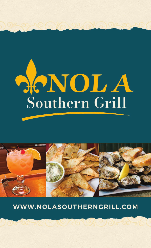



WWW.NOLASOUTHERNGRILL.COM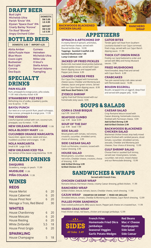# **DRAFT BEER**

Bud Light Michelob Ultra Parish "Envie" IPA Elysian "Space Dust" IPA Gnarly Barley "Korova" Tin Roof "Blonde" Angry Orchard Cider

**SM 3.00 LG 4.00 IMPORT SM 4.50 LG 5.50**

**DOMESTIC**

# **BOTTLED BEER**

**DOMESTIC 3.50 | IMPORT 4.25**

Abita Amber Abita Purple Haze Blue Moon Coors Light **Budweiser** Bud Light **Corona** Dos Equis

**Guiness** Heineken Michelob Ultra Miller Lite O'doul's Stella Artois Samuel Adams Yuengling

# **SPECIALTY DRINKS**

#### **PAIN KILLED**

Rum, pineapple & orange juices, piña colada. 11.99 Add a Bumbu Kicker 4.99

#### **STRAWBERRY FIZZ FEST**

Refreshing mix of vodka, strawberry purée, sour & sprice. 11.99

#### **BAYOU PUNCH**

Our twist on a rum punch! Rum, peach schnapps, blue curacao, pineapple & orange juice. 11.99

**THE VOODOO** Colorful layered cocktail with rum, coconut rum, pineapple, sour & melon. 11.99

### **NEW ORLEANS HURRICANE** 11.99

#### **NOLA BLOODY MARY** 9.99

**CUCUMBER ORANGE MARGARITA** Sauza silver, agave nectar, sweet and sour, muddled cucumber and oranges. 11.99

**NOLA MARGARITA** Small 6.99 Large 10.99 **NEW ORLEANS ICED TEA**

Our version of the classic Long Island tea 10.99

# **FROZEN DRINKS**

**DAIQUIRIS** Strawberry, mango, or peach. 11.99 **MUDSLIDE** 11.99 **PIÑA COLADA** 11.99

# **WINES**

### **REDS**

| <b>WHITES</b>             |    |    |
|---------------------------|----|----|
| Menage a Trois, Red Blend |    | 30 |
| <b>House Pinot Noir</b>   | 6  | 20 |
| <b>House Cabernet</b>     | 6. | 20 |
| <b>House Merlot</b>       | h  | 20 |

| <b>House Chardonnay</b>   | 6   | 20        |
|---------------------------|-----|-----------|
| <b>House Moscato</b>      | 6   | 20        |
| <b>House Riesling</b>     | 6   | <b>20</b> |
| <b>White Zinfandel</b>    | 5.5 | 18        |
| <b>House Pinot Grigio</b> | 6   | 20        |
| <b>SPARKLING</b>          |     |           |

House Champagne 5 18

**BACKWOODS BLACKENED CHICKEN SALAD**

# **APPETIZERS**

#### **SPINACH & ARTICHOKE DIP**

A creamy blend of spinach, artichokes, and Parmesan cheese, served with floured tortilla chips. 10.99 **Toppings: Sautéed Crawfish 2.00 Sautéed Mushrooms 1.00 Lump Crabmeat 4.00**

#### **JACKED UP FRIED PICKLES**

Buttermilk marinated sliced pickles battered, cooked golden brown, served with Cajun Ranch dipping sauce and topped with Pepper Jack cheese 6.99

#### **LOADED CHEESE FRIES**

Our Cajun fries topped with homemade cheese sauce, Cheddar and Monterey Jack cheeses, bacon and green onions. Served with our Cajun Ranch dipping sauce. 8.99 **Add Roast Beef Debris 1.50**

#### **ZYDECO SHRIMP**

Lightly fried Gulf Shimp tossed with our homemade zesty sauce. 9.99

# **SOUPS & SALADS**

**CORN & CRAB BISQUE** cup 5.99 bowl 8.99

**SEAFOOD GUMBO** cup 5.99 bowl 8.99

**SOUP OF THE DAY** cup 4.99 bowl 7.99

**SIDE SALAD** Mixed greens with tomato, red onions, croutons, cucumber, shredded carrot, choice of dressing. 3.99

**SIDE CAESAR SALAD** Fresh cut Romaine, croutons, tossed with Caesar dressing. 3.99

**HOUSE SALAD** Mixed greens, cucumber, tomatoes, red onion, Cheddar cheese, croutons, choice of dressing. 8.99 **Add Grilled Shrimp 3.99 Grilled Chicken 2.99**

# **WRAP**

**RANCHERO**

**GATOR BITES** Tender gator tail meat from Southern Louisiana dusted in our Cajun cornmeal, fried crispy, served with our Cajun Ranch dipping sauce. 11.99

#### **THICK CUT ONION RINGS**

Freshly cut, hand battered to order and served with BBQ and Honey Mustard sauces. 7.99

#### **FRIED MUSHROOMS**

Hand breaded, deep fried and served with Cajun Ranch. 6.99

#### **CRABCAKES**

Two pan seared lump crab cakes served with Remoulade sauce 14.99

#### **BOUDIN EGGROLL**

Boudin, wrapped into an eggroll, deep-fried and served with pepper jelly. 10.99

**CAESAR SALAD** 

Crisp Romaine lettuce tossed with Caesar dressing, homemade croutons, finished with Parmesan cheese. 9.99 **Add Grilled Shrimp 3.99** 

**Add Grilled Chicken 2.99**

#### **BACKWOODS BLACKENED CHICKEN SALAD**

Blackened chicken breast atop leafy mixed greens finished with candied pecans, sliced tomato, cucumber, shredded carrots, avocado, Cheddar and Monterey Jack cheeses. Your choice of dressing. 13.99

### **GULF SHRIMP SALAD**

Choose fried or sautéed Gulf shrimp, served over mixed greens, tomato, cucumber, red onion, mixed cheese and our Remoulade dressing. 13.99

**SANDWICHES & WRAPS**

**Served with French Fries.**

#### **CHICKEN CAESAR WRAP**

Romaine lettuce, Parmesan cheese, creamy Caesar dressing, grilled chicken. 11.99 **RANCHERO WRAP**

Grilled chicken, lettuce, tomato, bacon, Cheddar cheese, ranch dressing. 11.99

**CAJUN WRAP CRAWFISH OR SHRIMP | FRIED OR GRILLED** Shredded lettuce, tomato, Cheddar & Monterey Jack cheeses, Cajun Ranch dressing. 12.99

#### **PULLED PORK SANDWICH**

Slow cooked pulled pork, BBQ sauce, bacon, Pepper Jack cheese on a toasted bun. 11.99

#### **MARDI GRAS WRAP**

Fried chicken strips, red beans, chicken and sausage jambalaya. 12.99



2/22

**French Fries Homemade Fried Okra Jambalaya Seasonal Veggies Garlic Potato Wedges**

 $0000000000$ 

**Red Beans Mac n' Cheese Hushpuppies Side Salad Side Caesar**

 $\overline{\mathbf{C}}$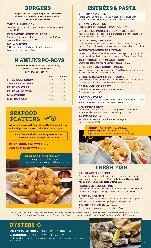## **BURGERS**

**Burgers are one half pound patties (8oz) served dressed with lettuce, tomato, onion & pickles. Served with French Fries.**

#### **THE ALL AMERICAN**

Seasoned and grilled, smothered with our homemade cheese sauce. 11.49

#### **OLD SMOKE HOUSE BURGER**

Our burger topped with slow roasted pulled pork, BBQ sauce, bacon and Cheddar cheese. 12.99

#### **NOLA BURGER**

Grilled and topped with Pepper Jack cheese and a Crawfish Au Gratin sauce. 12.99

### **N'AWLINS PO-BOYS**

**All Po-Boys served dressed with Tartar Sauce, Lettuce, Tomato and Pickles. Served with French Fries**

|                          | half  | whole |
|--------------------------|-------|-------|
| <b>FRIED GULF SHRIMP</b> | 9.99  | 13.99 |
| <b>CRISPY FRIED FISH</b> | 9.99  | 14.99 |
| <b>FRIED OYSTERS</b>     | 12.99 | 18.99 |
| <b>FRIED ALLIGATOR</b>   | 11.99 | 17.99 |
| <b>ROAST BEEF</b>        | 9.99  | 14.99 |
| <b>PULLED PORK</b>       | 9.99  | 12.99 |
|                          |       |       |

# **SEAFOOD PLATTERS**

**All platters served with French Fries, Hush Puppies, 2 Fried Onion Rings, French Bread, Cocktail and Tartar Sauce.**

**Add a fried soft shell crab to any platter for 6.99 Add cup of Gumbo to any platter for 4.99**

### **FRIED SHRIMP PLATTER** 17.99 **CRISPY FISH PLATTER** 17.99

### **SEAFOOD PLATTER** 26.99

Fried shrimp, oysters, fish, crabcake, hushpuppies, onion rings and French bread.



# **ENTRÉES & PASTA**

#### **SHRIMP AND GRITS**

Tender jumbo Gulf shrimp, sautéed in a light cream sauce, with bell peppers and mushrooms, ladled over cheese grits. 17.99

#### **SHRIMP ETOUFFÉE**

A New Orleans favorite served with white rice. 14.99

### **GRILLED OR PANEED CHICKEN ALFREDO**

Your choice of grilled or panéed chicken, tossed in a Penne pasta with our homemade Alfredo sauce. 14.99

### **LOADED BBQ CHICKEN**

Chargrilled chicken, BBQ sauce, bacon, Cheddar and Monterey Jack cheeses. Served with garlic potato wedges and seasonal veggies. 14.99

### **JASON'S CHICKEN PARMESAN**

Panéed chicken breast, deep fried, placed over Angel Hair pasta tossed in Marinara, topped with Pepper Jack cheese and Alfredo sauce. 13.99

### **TRADITIONAL RED BEANS & RICE**

Creamy red beans and rice with smoked sausage. 11.99 **CRABCAKE AND SHRIMP PASTA**

Sautéed shrimp, cajun cream sauce and Angel Hair pasta, topped with two pan seared lump crab cakes. 19.99

#### **CAJUN CHICKEN & MUSHROOMS**

Grilled chicken breast topped with sautéed mushrooms, shrimp and a Cajun cream sauce. Served with seasoned potatoes. 15.99

#### **CAJUN CHICKEN PASTA**

Grilled chicken, sauteed mushrooms, Penne pasta, Cajun cream sauce. 14.99

#### **SEAFOOD PASTA**

Sautéed shrimp and crawfish, seafood Alfredo sauce, Angel Hair pasta, topped with green onions and Parmesan cheese. 17.99

#### **CHOPPED STEAK**

Served over white rice, pan seared beef topped with caramelized onions, sautéed mushrooms, and roast beef gravy. 12.99

#### **TASTE OF NOLA**

Jambalaya, red beans & rice with smoked sausage and shrimp etouffée. 14.99

#### **SHRIMP OR FISH TACOS 12.99**

**(2) Fried or grilled.** Served with French Fries, cajun tartar sauce, pico de gallo, shredded cabbage.

# **FRESH FISH**

#### **PAN SEARED REDFISH**

Pan seared and topped with herb butter, served with garlic potato wedges and seasonal veggies. 19.99 **Add Shrimp Etouffée 2.95 Add Cajun Cream with Sautéed Shrimp 2.95**

#### **FLOUNDER FLORENTINE**

Grilled flounder, topped with a florentine sauce and sliced mushrooms. Served with garlic potato wedges and seasonal veggies. 21.99

#### **STUFFED CATFISH**

Two catfish filets stuffed with a crabcake, pan seared and topped with cajun cream, served with garlic potato wedges. 19.99

#### **BOILED CRAWFISH (Seasonal)** Boiled to order, served with lemon. Market Price

CONSUMER INFO: There may be a risk associated with consuming raw shellfish as is the case with other raw protein products. If you suffer from chronic illness of the liver, stomach or blood, or have other immune disorders, you should eat these products fully cooked.



**ON THE HALF SHELL** ½ dozen 10.99 | full dozen 17.99

**CHARBROILED** ½ dozen 13.99 | full dozen 23.99 Oysters on the half shell, charbroiled with our special blend of Parmesan cheese and herb butter.